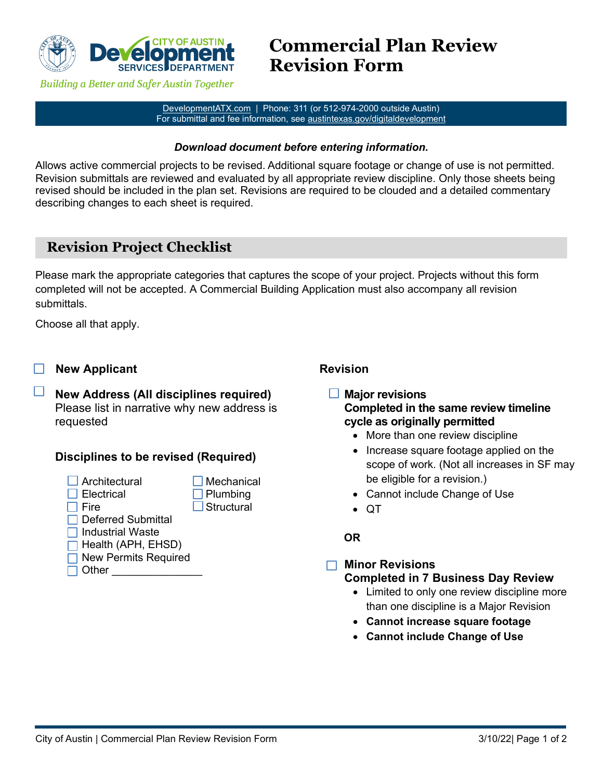

**Building a Better and Safer Austin Together** 

[DevelopmentATX.com](http://developmentatx.com/) | Phone: 311 (or 512-974-2000 outside Austin) For submittal and fee information, see austintexas.gov/digitaldevelopment

### *Download document before entering information.*

Allows active commercial projects to be revised. Additional square footage or change of use is not permitted. Revision submittals are reviewed and evaluated by all appropriate review discipline. Only those sheets being revised should be included in the plan set. Revisions are required to be clouded and a detailed commentary describing changes to each sheet is required.

# **Revision Project Checklist**

Please mark the appropriate categories that captures the scope of your project. Projects without this form completed will not be accepted. A Commercial Building Application must also accompany all revision submittals.

Choose all that apply.

- **New Applicant**
- П **New Address (All disciplines required)** Please list in narrative why new address is requested

## **Disciplines to be revised (Required)**

- Architectural Mechanical<br> **Exercise Meta**<br> **Exercise Meta**<br> **Exercise Meta**<br> **Exercise Meta** 
	- $\Box$  Plumbing
- □ Fire Structural
- **□ Deferred Submittal**
- $\Box$  Industrial Waste
- $\Box$  Health (APH, EHSD)
- **□ New Permits Required**
- $\Box$  Other

# **Revision**

#### $\Box$ **Major revisions Completed in the same review timeline cycle as originally permitted**

- More than one review discipline
- Increase square footage applied on the scope of work. (Not all increases in SF may be eligible for a revision.)
- Cannot include Change of Use
- QT

### **OR**

#### **Minor Revisions**  $\Box$ **Completed in 7 Business Day Review**

- Limited to only one review discipline more than one discipline is a Major Revision
- **Cannot increase square footage**
- **Cannot include Change of Use**